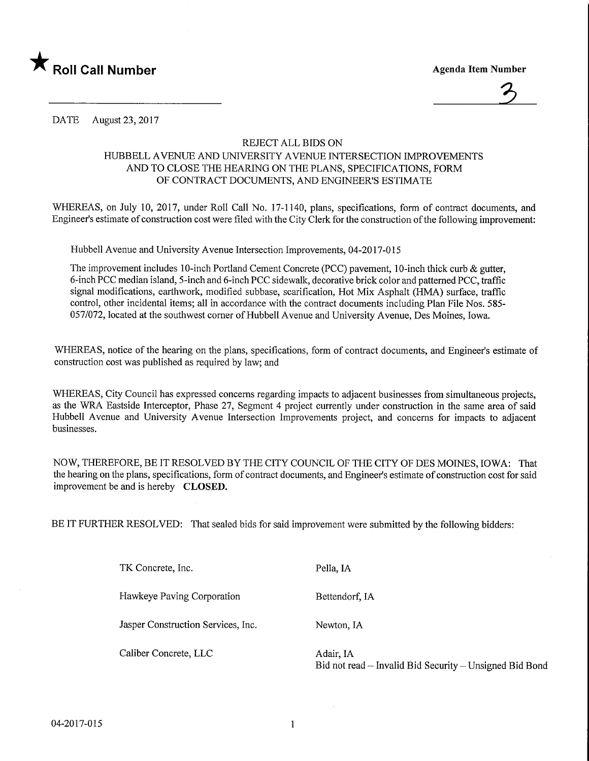



DATE August 23, 2017

## REJECT ALL BIDS ON

## HUBBELL AVENUE AND UNIVERSITY AVENUE INTERSECTION IMPROVEMENTS AND TO CLOSE THE HEARING ON THE PLANS, SPECIFICATIONS, FORM OF CONTRACT DOCUMENTS, AND ENGINEER'S ESTIMATE

WHEREAS, on July 10, 2017, under Roll Call No. 17-1140, plans, specifications, form of contract documents, and Engineer's estimate of construction cost were filed with the City Clerk for the construction of the following improvement:

Hubbell Avenue and University Avenue Intersection Improvements, 04-2017-015

The improvement includes 10-inch Portland Cement Concrete (PCC) pavement, 10-inch thick curb & gutter, 6-inch PCC median island, 5-inch and 6-inch PCC sidewalk, decorative brick color and patterned PCC, traffic signal modifications, earthwork, modified subbase, scarification, Hot Mix Asphalt (HMA) surface, traffic control, other incidental items; all in accordance with the contract documents including Plan File Nos. 585- 057/072, located at the southwest corner of Hubbell Avenue and University Avenue, Des Moines, Iowa.

WHEREAS, notice of the hearing on the plans, specifications, form of contract documents, and Engineer's estimate of construction cost was published as required by law; and

WHEREAS, City Council has expressed concerns regarding impacts to adjacent businesses from simultaneous projects, as the WRA. Eastside Interceptor, Phase 27, Segment 4 project currently under construction in the same area of said Hubbell Avenue and University Avenue Intersection Improvements project, and concerns for impacts to adjacent businesses.

NOW, THEREFORE, BE IT RESOLVED BY THE CITY COUNCIL OF THE CITY OF DES MOINES, IOWA: That the hearing on the plans, specifications, form of contract documents, and Engineer's estimate of construction cost for said improvement be and is hereby CLOSED.

BE IT FURTHER RESOLVED: That sealed bids for said improvement were submitted by the following bidders:

TK Concrete, Inc. Hawkeye Paving Corporation Jasper Construction Services, Inc. Pella, IA Bettendorf, IA Newton, IA Caliber Concrete, LLC Adair, IA Bid not read - Invalid Bid Security - Unsigned Bid Bond

04-2017-015

 $\mathbf{1}$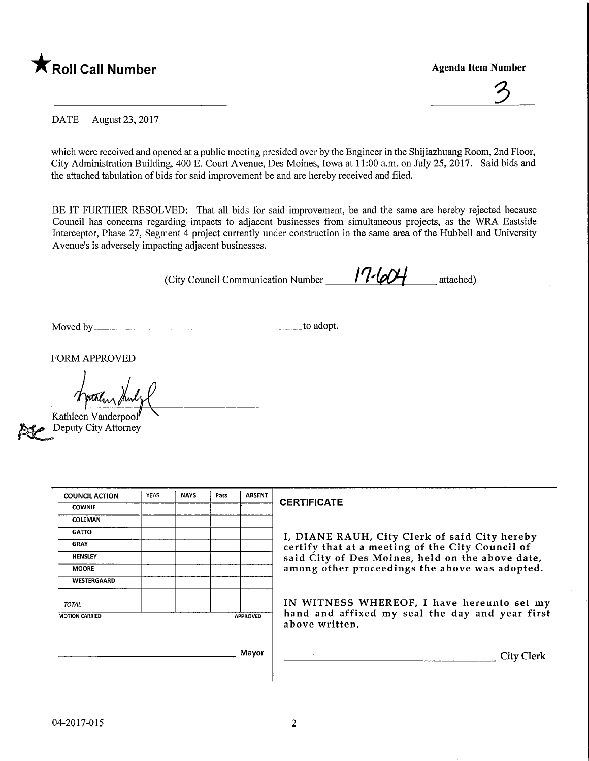



DATE August 23, 2017

which were received and opened at a public meeting presided over by the Engineer in the Shijiazhuang Room, 2nd Floor, City Administration Building, 400 E. Court Avenue, Des Moines, Iowa at 11:00 a.m. on July 25, 2017. Said bids and the attached tabulation of bids for said improvement be and are hereby received and filed.

BE IT FURTHER RESOLVED: That all bids for said improvement, be and the same are hereby rejected because Council has concerns regarding impacts to adjacent businesses from simultaneous projects, as the WRA Eastside Interceptor, Phase 27, Segment 4 project currently under construction in the same area of the Hubbell and University Avenue's is adversely impacting adjacent businesses.

(City Council Communication Number  $\frac{1}{2}$   $\frac{1}{2}$  attached)

Moved by. .to adopt.

FORM APPROVED

Kathleen Vanderpool

Deputy City Attorney

| <b>COUNCIL ACTION</b> | YEAS | <b>NAYS</b> | Pass | <b>ABSENT</b>   |  |  |  |  |  |
|-----------------------|------|-------------|------|-----------------|--|--|--|--|--|
| <b>COWNIE</b>         |      |             |      |                 |  |  |  |  |  |
| COLEMAN               |      |             |      |                 |  |  |  |  |  |
| <b>GATTO</b>          |      |             |      |                 |  |  |  |  |  |
| <b>GRAY</b>           |      |             |      |                 |  |  |  |  |  |
| <b>HENSLEY</b>        |      |             |      |                 |  |  |  |  |  |
| <b>MOORE</b>          |      |             |      |                 |  |  |  |  |  |
| <b>WESTERGAARD</b>    |      |             |      |                 |  |  |  |  |  |
| <b>TOTAL</b>          |      |             |      |                 |  |  |  |  |  |
| <b>MOTION CARRIED</b> |      |             |      | <b>APPROVED</b> |  |  |  |  |  |
|                       |      |             |      |                 |  |  |  |  |  |
|                       |      |             |      |                 |  |  |  |  |  |
| Mayor                 |      |             |      |                 |  |  |  |  |  |

## CERTIFICATE

I, DIANE RAUH, City Clerk of said City hereby certify that at a meeting of the City Council of said City of Des Moines, held on the above date, among other proceedings the above was adopted.

IN WITNESS WHEREOF, I have hereunto set my hand and affixed my seal the day and year first above written.

**City Clerk**